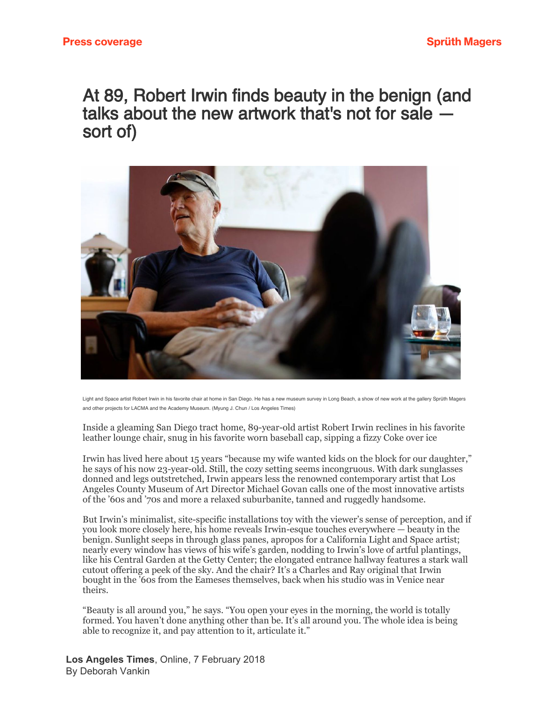## At 89, Robert Irwin finds beauty in the benign (and talks about the new artwork that's not for sale sort of)



Light and Space artist Robert Irwin in his favorite chair at home in San Diego. He has a new museum survey in Long Beach, a show of new work at the gallery Sprüth Magers and other projects for LACMA and the Academy Museum. (Myung J. Chun / Los Angeles Times)

Inside a gleaming San Diego tract home, 89-year-old artist Robert Irwin reclines in his favorite leather lounge chair, snug in his favorite worn baseball cap, sipping a fizzy Coke over ice

Irwin has lived here about 15 years "because my wife wanted kids on the block for our daughter," he says of his now 23-year-old. Still, the cozy setting seems incongruous. With dark sunglasses donned and legs outstretched, Irwin appears less the renowned contemporary artist that Los Angeles County Museum of Art Director Michael Govan calls one of the most innovative artists of the '60s and '70s and more a relaxed suburbanite, tanned and ruggedly handsome.

But Irwin's minimalist, site-specific installations toy with the viewer's sense of perception, and if you look more closely here, his home reveals Irwin-esque touches everywhere — beauty in the benign. Sunlight seeps in through glass panes, apropos for a California Light and Space artist; nearly every window has views of his wife's garden, nodding to Irwin's love of artful plantings, like his Central Garden at the Getty Center; the elongated entrance hallway features a stark wall cutout offering a peek of the sky. And the chair? It's a Charles and Ray original that Irwin bought in the '60s from the Eameses themselves, back when his studio was in Venice near theirs.

"Beauty is all around you," he says. "You open your eyes in the morning, the world is totally formed. You haven't done anything other than be. It's all around you. The whole idea is being able to recognize it, and pay attention to it, articulate it."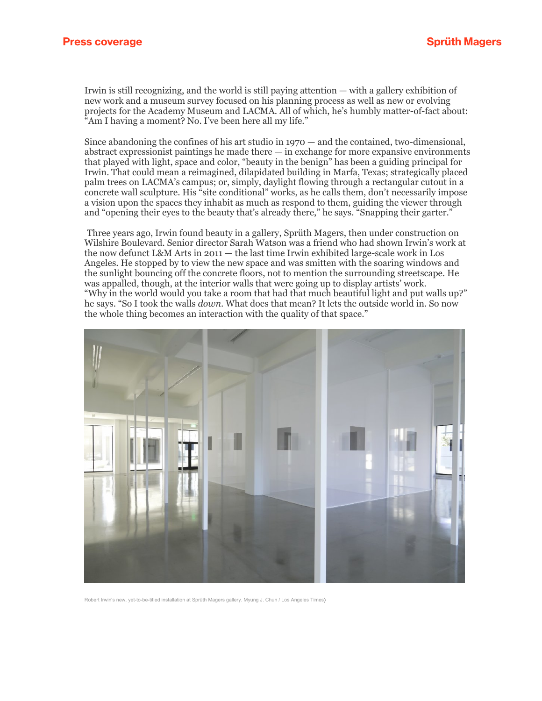Irwin is still recognizing, and the world is still paying attention — with a gallery exhibition of new work and a museum survey focused on his planning process as well as new or evolving projects for the Academy Museum and LACMA. All of which, he's humbly matter-of-fact about: "Am I having a moment? No. I've been here all my life."

Since abandoning the confines of his art studio in 1970 — and the contained, two-dimensional, abstract expressionist paintings he made there  $-$  in exchange for more expansive environments that played with light, space and color, "beauty in the benign" has been a guiding principal for Irwin. That could mean a reimagined, dilapidated building in Marfa, Texas; strategically placed palm trees on LACMA's campus; or, simply, daylight flowing through a rectangular cutout in a concrete wall sculpture. His "site conditional" works, as he calls them, don't necessarily impose a vision upon the spaces they inhabit as much as respond to them, guiding the viewer through and "opening their eyes to the beauty that's already there," he says. "Snapping their garter."

Three years ago, Irwin found beauty in a gallery, Sprüth Magers, then under construction on Wilshire Boulevard. Senior director Sarah Watson was a friend who had shown Irwin's work at the now defunct L&M Arts in 2011 — the last time Irwin exhibited large-scale work in Los Angeles. He stopped by to view the new space and was smitten with the soaring windows and the sunlight bouncing off the concrete floors, not to mention the surrounding streetscape. He was appalled, though, at the interior walls that were going up to display artists' work. "Why in the world would you take a room that had that much beautiful light and put walls up?" he says. "So I took the walls *down*. What does that mean? It lets the outside world in. So now the whole thing becomes an interaction with the quality of that space."



Robert Irwin's new, yet-to-be-titled installation at Sprüth Magers gallery. Myung J. Chun / Los Angeles Times)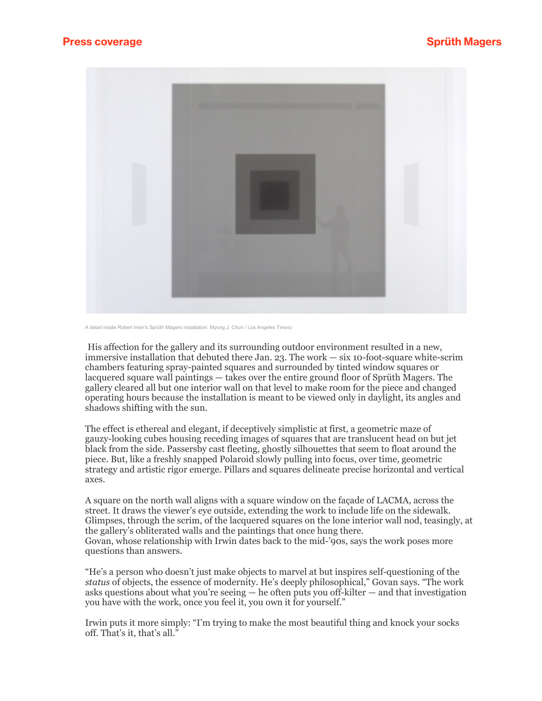

A detail inside Robert Irwin's Sprüth Magers installation. Myung J. Chun / Los Angeles Times)

His affection for the gallery and its surrounding outdoor environment resulted in a new, immersive installation that debuted there Jan. 23. The work — six 10-foot-square white-scrim chambers featuring spray-painted squares and surrounded by tinted window squares or lacquered square wall paintings — takes over the entire ground floor of Sprüth Magers. The gallery cleared all but one interior wall on that level to make room for the piece and changed operating hours because the installation is meant to be viewed only in daylight, its angles and shadows shifting with the sun.

The effect is ethereal and elegant, if deceptively simplistic at first, a geometric maze of gauzy-looking cubes housing receding images of squares that are translucent head on but jet black from the side. Passersby cast fleeting, ghostly silhouettes that seem to float around the piece. But, like a freshly snapped Polaroid slowly pulling into focus, over time, geometric strategy and artistic rigor emerge. Pillars and squares delineate precise horizontal and vertical axes.

A square on the north wall aligns with a square window on the façade of LACMA, across the street. It draws the viewer's eye outside, extending the work to include life on the sidewalk. Glimpses, through the scrim, of the lacquered squares on the lone interior wall nod, teasingly, at the gallery's obliterated walls and the paintings that once hung there. Govan, whose relationship with Irwin dates back to the mid-'90s, says the work poses more questions than answers.

"He's a person who doesn't just make objects to marvel at but inspires self-questioning of the *status* of objects, the essence of modernity. He's deeply philosophical," Govan says. "The work asks questions about what you're seeing — he often puts you off-kilter — and that investigation you have with the work, once you feel it, you own it for yourself."

Irwin puts it more simply: "I'm trying to make the most beautiful thing and knock your socks off. That's it, that's all."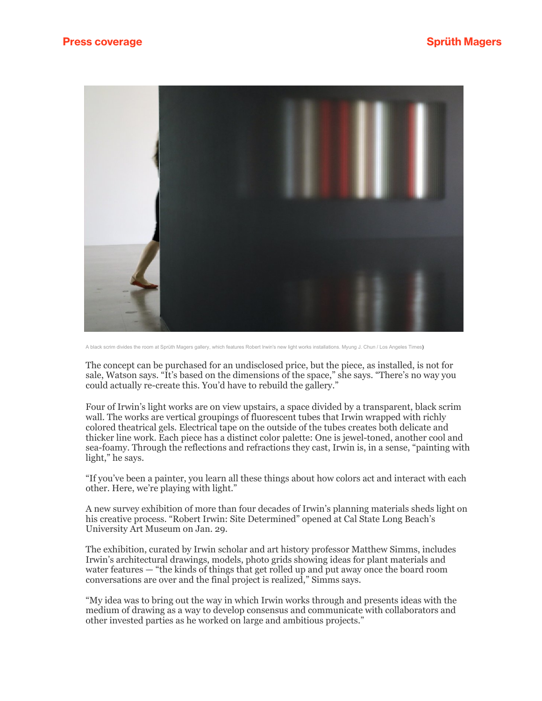

A black scrim divides the room at Sprüth Magers gallery, which features Robert Irwin's new light works installations. Myung J. Chun / Los Angeles Times)

The concept can be purchased for an undisclosed price, but the piece, as installed, is not for sale, Watson says. "It's based on the dimensions of the space," she says. "There's no way you could actually re-create this. You'd have to rebuild the gallery."

Four of Irwin's light works are on view upstairs, a space divided by a transparent, black scrim wall. The works are vertical groupings of fluorescent tubes that Irwin wrapped with richly colored theatrical gels. Electrical tape on the outside of the tubes creates both delicate and thicker line work. Each piece has a distinct color palette: One is jewel-toned, another cool and sea-foamy. Through the reflections and refractions they cast, Irwin is, in a sense, "painting with light," he says.

"If you've been a painter, you learn all these things about how colors act and interact with each other. Here, we're playing with light."

A new survey exhibition of more than four decades of Irwin's planning materials sheds light on his creative process. "Robert Irwin: Site Determined" opened at Cal State Long Beach's University Art Museum on Jan. 29.

The exhibition, curated by Irwin scholar and art history professor Matthew Simms, includes Irwin's architectural drawings, models, photo grids showing ideas for plant materials and water features — "the kinds of things that get rolled up and put away once the board room conversations are over and the final project is realized," Simms says.

"My idea was to bring out the way in which Irwin works through and presents ideas with the medium of drawing as a way to develop consensus and communicate with collaborators and other invested parties as he worked on large and ambitious projects."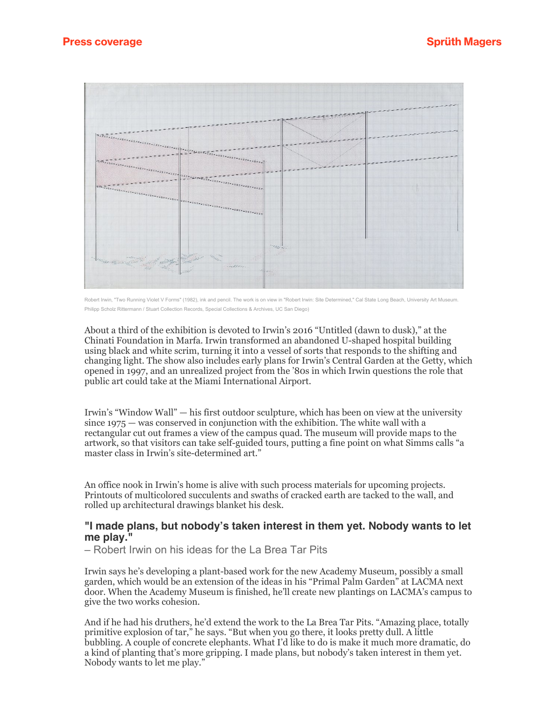

Robert Irwin, "Two Running Violet V Forms" (1982), ink and pencil. The work is on view in "Robert Irwin: Site Determined," Cal State Long Beach, University Art Museum. Philipp Scholz Rittermann / Stuart Collection Records, Special Collections & Archives, UC San Diego)

About a third of the exhibition is devoted to Irwin's 2016 "Untitled (dawn to dusk)," at the Chinati Foundation in Marfa. Irwin transformed an abandoned U-shaped hospital building using black and white scrim, turning it into a vessel of sorts that responds to the shifting and changing light. The show also includes early plans for Irwin's Central Garden at the Getty, which opened in 1997, and an unrealized project from the '80s in which Irwin questions the role that public art could take at the Miami International Airport.

Irwin's "Window Wall" — his first outdoor sculpture, which has been on view at the university since 1975 — was conserved in conjunction with the exhibition. The white wall with a rectangular cut out frames a view of the campus quad. The museum will provide maps to the artwork, so that visitors can take self-guided tours, putting a fine point on what Simms calls "a master class in Irwin's site-determined art."

An office nook in Irwin's home is alive with such process materials for upcoming projects. Printouts of multicolored succulents and swaths of cracked earth are tacked to the wall, and rolled up architectural drawings blanket his desk.

## **"I made plans, but nobody's taken interest in them yet. Nobody wants to let me play."**

– Robert Irwin on his ideas for the La Brea Tar Pits

Irwin says he's developing a plant-based work for the new Academy Museum, possibly a small garden, which would be an extension of the ideas in his "Primal Palm Garden" at LACMA next door. When the Academy Museum is finished, he'll create new plantings on LACMA's campus to give the two works cohesion.

And if he had his druthers, he'd extend the work to the La Brea Tar Pits. "Amazing place, totally primitive explosion of tar," he says. "But when you go there, it looks pretty dull. A little bubbling. A couple of concrete elephants. What I'd like to do is make it much more dramatic, do a kind of planting that's more gripping. I made plans, but nobody's taken interest in them yet. Nobody wants to let me play."